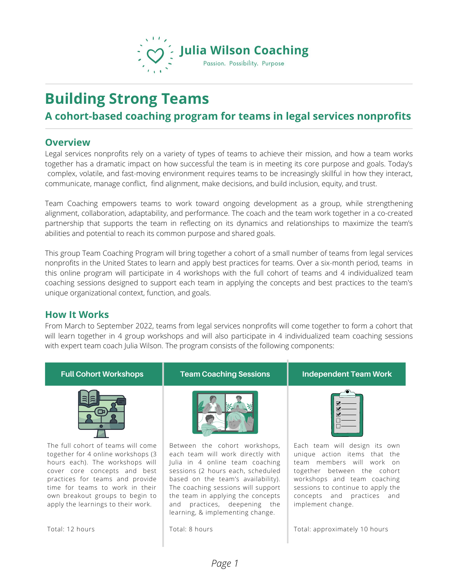

# **Building Strong Teams**

## **A cohort-based coaching program for teams in legal services nonprofits**

#### **Overview**

Legal services nonprofits rely on a variety of types of teams to achieve their mission, and how a team works together has a dramatic impact on how successful the team is in meeting its core purpose and goals. Today's complex, volatile, and fast-moving environment requires teams to be increasingly skillful in how they interact, communicate, manage conflict, find alignment, make decisions, and build inclusion, equity, and trust.

Team Coaching empowers teams to work toward ongoing development as a group, while strengthening alignment, collaboration, adaptability, and performance. The coach and the team work together in a co-created partnership that supports the team in reflecting on its dynamics and relationships to maximize the team's abilities and potential to reach its common purpose and shared goals.

This group Team Coaching Program will bring together a cohort of a small number of teams from legal services nonprofits in the United States to learn and apply best practices for teams. Over a six-month period, teams in this online program will participate in 4 workshops with the full cohort of teams and 4 individualized team coaching sessions designed to support each team in applying the concepts and best practices to the team's unique organizational context, function, and goals.

#### **How It Works**

From March to September 2022, teams from legal services nonprofits will come together to form a cohort that will learn together in 4 group workshops and will also participate in 4 individualized team coaching sessions with expert team coach Julia Wilson. The program consists of the following components:

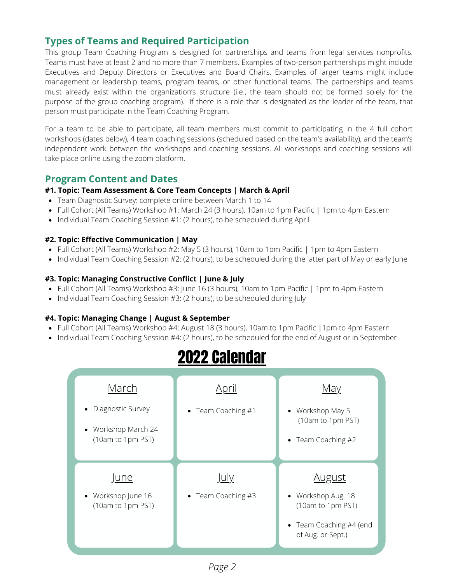## **Types of Teams and Required Participation**

This group Team Coaching Program is designed for partnerships and teams from legal services nonprofits. Teams must have at least 2 and no more than 7 members. Examples of two-person partnerships might include Executives and Deputy Directors or Executives and Board Chairs. Examples of larger teams might include management or leadership teams, program teams, or other functional teams. The partnerships and teams must already exist within the organization's structure (i.e., the team should not be formed solely for the purpose of the group coaching program). If there is a role that is designated as the leader of the team, that person must participate in the Team Coaching Program.

For a team to be able to participate, all team members must commit to participating in the 4 full cohort workshops (dates below), 4 team coaching sessions (scheduled based on the team's availability), and the team's independent work between the workshops and coaching sessions. All workshops and coaching sessions will take place online using the zoom platform.

## **Program Content and Dates**

#### **#1. Topic: Team Assessment & Core Team Concepts | March & April**

- Team Diagnostic Survey: complete online between March 1 to 14
- Full Cohort (All Teams) Workshop #1: March 24 (3 hours), 10am to 1pm Pacific | 1pm to 4pm Eastern
- Individual Team Coaching Session #1: (2 hours), to be scheduled during April

#### **#2. Topic: Effective Communication | May**

- Full Cohort (All Teams) Workshop #2: May 5 (3 hours), 10am to 1pm Pacific | 1pm to 4pm Eastern
- Individual Team Coaching Session #2: (2 hours), to be scheduled during the latter part of May or early June

#### **#3. Topic: Managing Constructive Conflict | June & July**

- Full Cohort (All Teams) Workshop #3: June 16 (3 hours), 10am to 1pm Pacific | 1pm to 4pm Eastern
- Individual Team Coaching Session #3: (2 hours), to be scheduled during July

#### **#4. Topic: Managing Change | August & September**

- Full Cohort (All Teams) Workshop #4: August 18 (3 hours), 10am to 1pm Pacific |1pm to 4pm Eastern
- Individual Team Coaching Session #4: (2 hours), to be scheduled for the end of August or in September